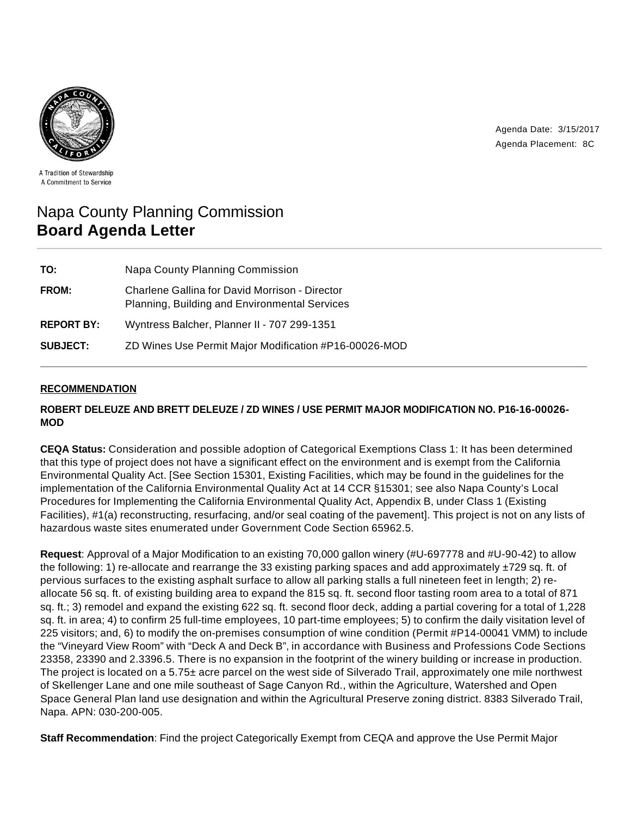

Agenda Date: 3/15/2017 Agenda Placement: 8C

A Tradition of Stewardship A Commitment to Service

# Napa County Planning Commission **Board Agenda Letter**

| TO:               | Napa County Planning Commission                                                                               |
|-------------------|---------------------------------------------------------------------------------------------------------------|
| <b>FROM:</b>      | <b>Charlene Gallina for David Morrison - Director</b><br><b>Planning, Building and Environmental Services</b> |
| <b>REPORT BY:</b> | Wyntress Balcher, Planner II - 707 299-1351                                                                   |
| <b>SUBJECT:</b>   | ZD Wines Use Permit Major Modification #P16-00026-MOD                                                         |

# **RECOMMENDATION**

# **ROBERT DELEUZE AND BRETT DELEUZE / ZD WINES / USE PERMIT MAJOR MODIFICATION NO. P16-16-00026- MOD**

**CEQA Status:** Consideration and possible adoption of Categorical Exemptions Class 1: It has been determined that this type of project does not have a significant effect on the environment and is exempt from the California Environmental Quality Act. [See Section 15301, Existing Facilities, which may be found in the guidelines for the implementation of the California Environmental Quality Act at 14 CCR §15301; see also Napa County's Local Procedures for Implementing the California Environmental Quality Act, Appendix B, under Class 1 (Existing Facilities), #1(a) reconstructing, resurfacing, and/or seal coating of the pavement]. This project is not on any lists of hazardous waste sites enumerated under Government Code Section 65962.5.

**Request**: Approval of a Major Modification to an existing 70,000 gallon winery (#U-697778 and #U-90-42) to allow the following: 1) re-allocate and rearrange the 33 existing parking spaces and add approximately ±729 sq. ft. of pervious surfaces to the existing asphalt surface to allow all parking stalls a full nineteen feet in length; 2) reallocate 56 sq. ft. of existing building area to expand the 815 sq. ft. second floor tasting room area to a total of 871 sq. ft.; 3) remodel and expand the existing 622 sq. ft. second floor deck, adding a partial covering for a total of 1,228 sq. ft. in area; 4) to confirm 25 full-time employees, 10 part-time employees; 5) to confirm the daily visitation level of 225 visitors; and, 6) to modify the on-premises consumption of wine condition (Permit #P14-00041 VMM) to include the "Vineyard View Room" with "Deck A and Deck B", in accordance with Business and Professions Code Sections 23358, 23390 and 2.3396.5. There is no expansion in the footprint of the winery building or increase in production. The project is located on a 5.75± acre parcel on the west side of Silverado Trail, approximately one mile northwest of Skellenger Lane and one mile southeast of Sage Canyon Rd., within the Agriculture, Watershed and Open Space General Plan land use designation and within the Agricultural Preserve zoning district. 8383 Silverado Trail, Napa. APN: 030-200-005.

**Staff Recommendation**: Find the project Categorically Exempt from CEQA and approve the Use Permit Major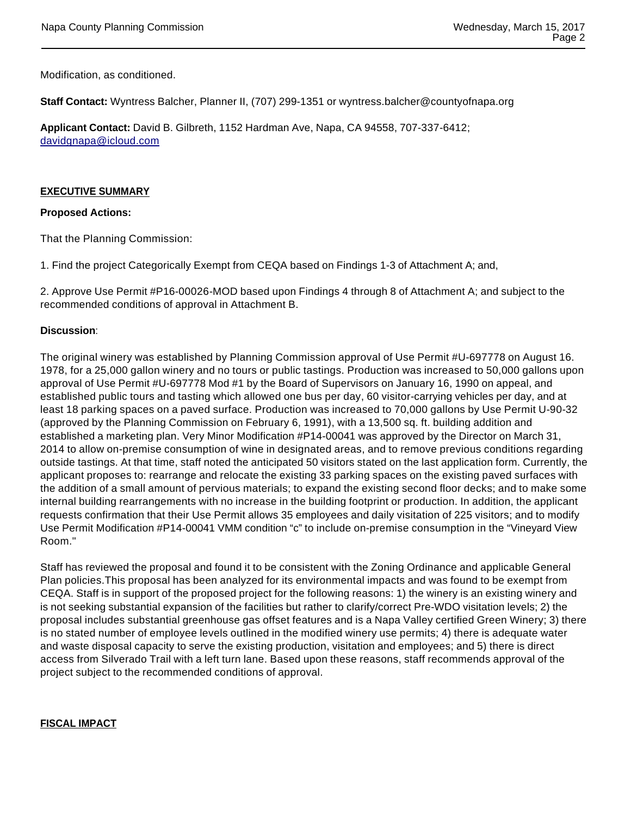Modification, as conditioned.

**Staff Contact:** Wyntress Balcher, Planner II, (707) 299-1351 or wyntress.balcher@countyofnapa.org

**Applicant Contact:** David B. Gilbreth, 1152 Hardman Ave, Napa, CA 94558, 707-337-6412; davidgnapa@icloud.com

#### **EXECUTIVE SUMMARY**

#### **Proposed Actions:**

That the Planning Commission:

1. Find the project Categorically Exempt from CEQA based on Findings 1-3 of Attachment A; and,

2. Approve Use Permit #P16-00026-MOD based upon Findings 4 through 8 of Attachment A; and subject to the recommended conditions of approval in Attachment B.

#### **Discussion**:

The original winery was established by Planning Commission approval of Use Permit #U-697778 on August 16. 1978, for a 25,000 gallon winery and no tours or public tastings. Production was increased to 50,000 gallons upon approval of Use Permit #U-697778 Mod #1 by the Board of Supervisors on January 16, 1990 on appeal, and established public tours and tasting which allowed one bus per day, 60 visitor-carrying vehicles per day, and at least 18 parking spaces on a paved surface. Production was increased to 70,000 gallons by Use Permit U-90-32 (approved by the Planning Commission on February 6, 1991), with a 13,500 sq. ft. building addition and established a marketing plan. Very Minor Modification #P14-00041 was approved by the Director on March 31, 2014 to allow on-premise consumption of wine in designated areas, and to remove previous conditions regarding outside tastings. At that time, staff noted the anticipated 50 visitors stated on the last application form. Currently, the applicant proposes to: rearrange and relocate the existing 33 parking spaces on the existing paved surfaces with the addition of a small amount of pervious materials; to expand the existing second floor decks; and to make some internal building rearrangements with no increase in the building footprint or production. In addition, the applicant requests confirmation that their Use Permit allows 35 employees and daily visitation of 225 visitors; and to modify Use Permit Modification #P14-00041 VMM condition "c" to include on-premise consumption in the "Vineyard View Room."

Staff has reviewed the proposal and found it to be consistent with the Zoning Ordinance and applicable General Plan policies.This proposal has been analyzed for its environmental impacts and was found to be exempt from CEQA. Staff is in support of the proposed project for the following reasons: 1) the winery is an existing winery and is not seeking substantial expansion of the facilities but rather to clarify/correct Pre-WDO visitation levels; 2) the proposal includes substantial greenhouse gas offset features and is a Napa Valley certified Green Winery; 3) there is no stated number of employee levels outlined in the modified winery use permits; 4) there is adequate water and waste disposal capacity to serve the existing production, visitation and employees; and 5) there is direct access from Silverado Trail with a left turn lane. Based upon these reasons, staff recommends approval of the project subject to the recommended conditions of approval.

#### **FISCAL IMPACT**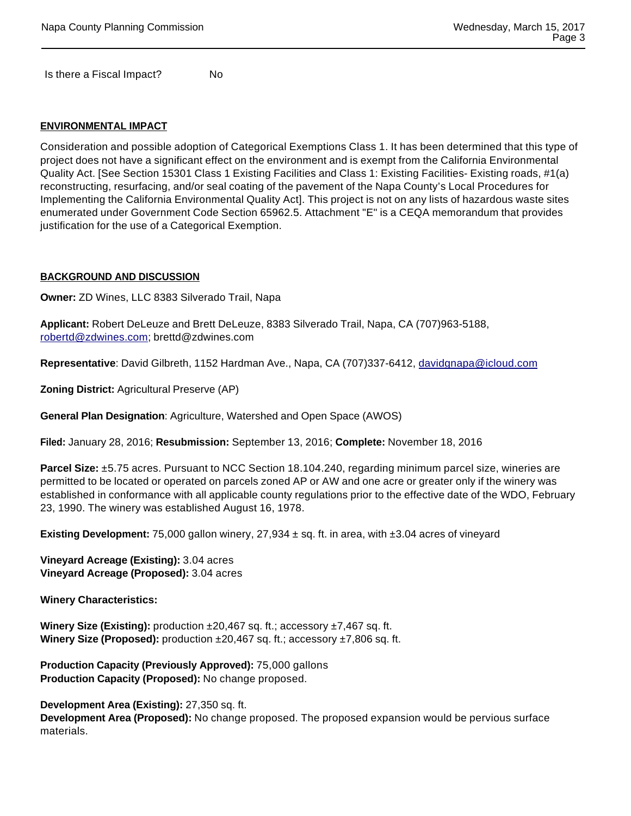Is there a Fiscal Impact? No

#### **ENVIRONMENTAL IMPACT**

Consideration and possible adoption of Categorical Exemptions Class 1. It has been determined that this type of project does not have a significant effect on the environment and is exempt from the California Environmental Quality Act. [See Section 15301 Class 1 Existing Facilities and Class 1: Existing Facilities- Existing roads, #1(a) reconstructing, resurfacing, and/or seal coating of the pavement of the Napa County's Local Procedures for Implementing the California Environmental Quality Act]. This project is not on any lists of hazardous waste sites enumerated under Government Code Section 65962.5. Attachment "E" is a CEQA memorandum that provides justification for the use of a Categorical Exemption.

#### **BACKGROUND AND DISCUSSION**

**Owner:** ZD Wines, LLC 8383 Silverado Trail, Napa

**Applicant:** Robert DeLeuze and Brett DeLeuze, 8383 Silverado Trail, Napa, CA (707)963-5188, robertd@zdwines.com; brettd@zdwines.com

**Representative**: David Gilbreth, 1152 Hardman Ave., Napa, CA (707)337-6412, davidgnapa@icloud.com

**Zoning District:** Agricultural Preserve (AP)

**General Plan Designation**: Agriculture, Watershed and Open Space (AWOS)

**Filed:** January 28, 2016; **Resubmission:** September 13, 2016; **Complete:** November 18, 2016

**Parcel Size:** ±5.75 acres. Pursuant to NCC Section 18.104.240, regarding minimum parcel size, wineries are permitted to be located or operated on parcels zoned AP or AW and one acre or greater only if the winery was established in conformance with all applicable county regulations prior to the effective date of the WDO, February 23, 1990. The winery was established August 16, 1978.

**Existing Development:** 75,000 gallon winery, 27,934 ± sq. ft. in area, with ±3.04 acres of vineyard

**Vineyard Acreage (Existing):** 3.04 acres **Vineyard Acreage (Proposed):** 3.04 acres

**Winery Characteristics:** 

**Winery Size (Existing):** production ±20,467 sq. ft.; accessory ±7,467 sq. ft. **Winery Size (Proposed):** production ±20,467 sq. ft.; accessory ±7,806 sq. ft.

**Production Capacity (Previously Approved):** 75,000 gallons **Production Capacity (Proposed):** No change proposed.

**Development Area (Existing):** 27,350 sq. ft.

**Development Area (Proposed):** No change proposed. The proposed expansion would be pervious surface materials.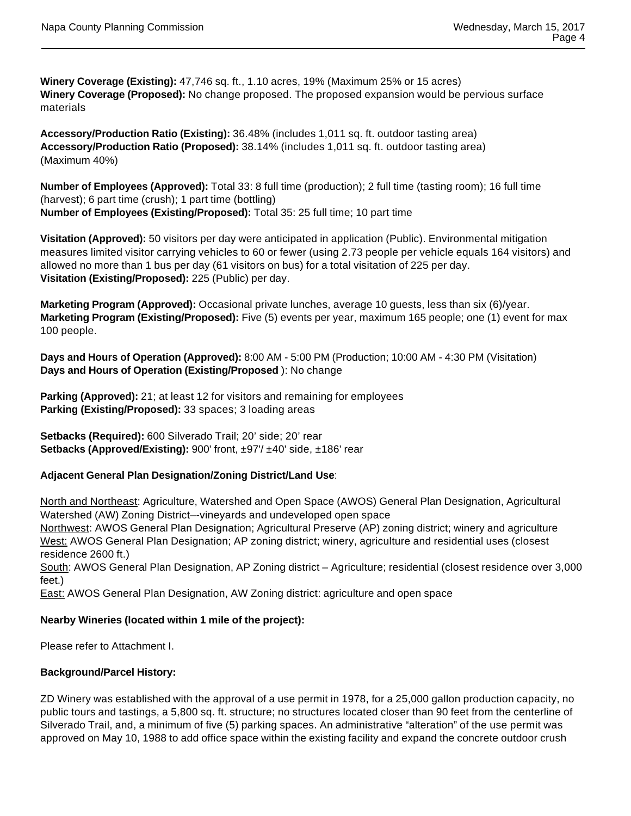**Winery Coverage (Existing):** 47,746 sq. ft., 1.10 acres, 19% (Maximum 25% or 15 acres) **Winery Coverage (Proposed):** No change proposed. The proposed expansion would be pervious surface materials

**Accessory/Production Ratio (Existing):** 36.48% (includes 1,011 sq. ft. outdoor tasting area) **Accessory/Production Ratio (Proposed):** 38.14% (includes 1,011 sq. ft. outdoor tasting area) (Maximum 40%)

**Number of Employees (Approved):** Total 33: 8 full time (production); 2 full time (tasting room); 16 full time (harvest); 6 part time (crush); 1 part time (bottling) **Number of Employees (Existing/Proposed):** Total 35: 25 full time; 10 part time

**Visitation (Approved):** 50 visitors per day were anticipated in application (Public). Environmental mitigation measures limited visitor carrying vehicles to 60 or fewer (using 2.73 people per vehicle equals 164 visitors) and allowed no more than 1 bus per day (61 visitors on bus) for a total visitation of 225 per day. **Visitation (Existing/Proposed):** 225 (Public) per day.

**Marketing Program (Approved):** Occasional private lunches, average 10 guests, less than six (6)/year. **Marketing Program (Existing/Proposed):** Five (5) events per year, maximum 165 people; one (1) event for max 100 people.

**Days and Hours of Operation (Approved):** 8:00 AM - 5:00 PM (Production; 10:00 AM - 4:30 PM (Visitation) **Days and Hours of Operation (Existing/Proposed** ): No change

**Parking (Approved):** 21; at least 12 for visitors and remaining for employees **Parking (Existing/Proposed):** 33 spaces; 3 loading areas

**Setbacks (Required):** 600 Silverado Trail; 20' side; 20' rear **Setbacks (Approved/Existing):** 900' front, ±97'/ ±40' side, ±186' rear

## **Adjacent General Plan Designation/Zoning District/Land Use**:

North and Northeast: Agriculture, Watershed and Open Space (AWOS) General Plan Designation, Agricultural Watershed (AW) Zoning District–-vineyards and undeveloped open space Northwest: AWOS General Plan Designation; Agricultural Preserve (AP) zoning district; winery and agriculture West: AWOS General Plan Designation; AP zoning district; winery, agriculture and residential uses (closest residence 2600 ft.) South: AWOS General Plan Designation, AP Zoning district – Agriculture; residential (closest residence over 3,000

feet.) **East:** AWOS General Plan Designation, AW Zoning district: agriculture and open space

## **Nearby Wineries (located within 1 mile of the project):**

Please refer to Attachment I.

## **Background/Parcel History:**

ZD Winery was established with the approval of a use permit in 1978, for a 25,000 gallon production capacity, no public tours and tastings, a 5,800 sq. ft. structure; no structures located closer than 90 feet from the centerline of Silverado Trail, and, a minimum of five (5) parking spaces. An administrative "alteration" of the use permit was approved on May 10, 1988 to add office space within the existing facility and expand the concrete outdoor crush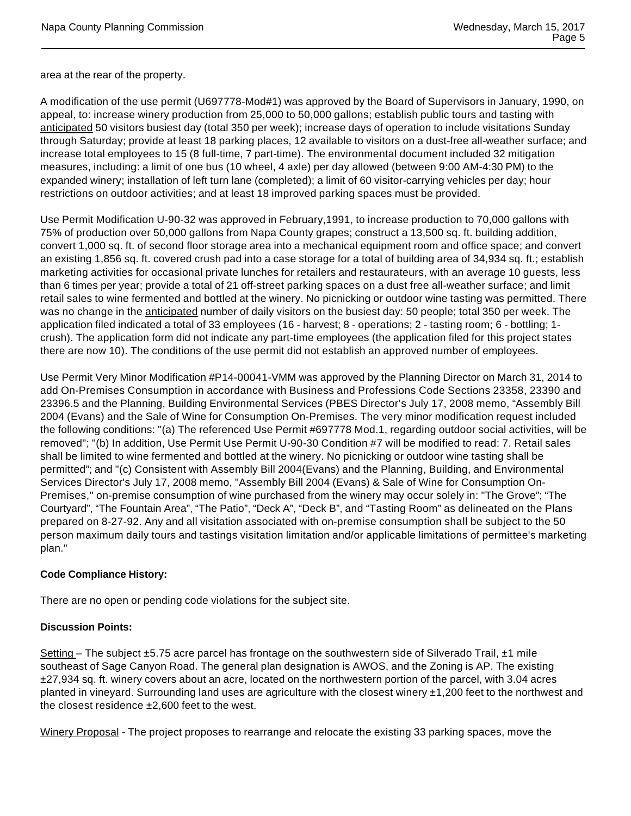area at the rear of the property.

A modification of the use permit (U697778-Mod#1) was approved by the Board of Supervisors in January, 1990, on appeal, to: increase winery production from 25,000 to 50,000 gallons; establish public tours and tasting with anticipated 50 visitors busiest day (total 350 per week); increase days of operation to include visitations Sunday through Saturday; provide at least 18 parking places, 12 available to visitors on a dust-free all-weather surface; and increase total employees to 15 (8 full-time, 7 part-time). The environmental document included 32 mitigation measures, including: a limit of one bus (10 wheel, 4 axle) per day allowed (between 9:00 AM-4:30 PM) to the expanded winery; installation of left turn lane (completed); a limit of 60 visitor-carrying vehicles per day; hour restrictions on outdoor activities; and at least 18 improved parking spaces must be provided.

Use Permit Modification U-90-32 was approved in February,1991, to increase production to 70,000 gallons with 75% of production over 50,000 gallons from Napa County grapes; construct a 13,500 sq. ft. building addition, convert 1,000 sq. ft. of second floor storage area into a mechanical equipment room and office space; and convert an existing 1,856 sq. ft. covered crush pad into a case storage for a total of building area of 34,934 sq. ft.; establish marketing activities for occasional private lunches for retailers and restaurateurs, with an average 10 guests, less than 6 times per year; provide a total of 21 off-street parking spaces on a dust free all-weather surface; and limit retail sales to wine fermented and bottled at the winery. No picnicking or outdoor wine tasting was permitted. There was no change in the **anticipated** number of daily visitors on the busiest day: 50 people; total 350 per week. The application filed indicated a total of 33 employees (16 - harvest; 8 - operations; 2 - tasting room; 6 - bottling; 1 crush). The application form did not indicate any part-time employees (the application filed for this project states there are now 10). The conditions of the use permit did not establish an approved number of employees.

Use Permit Very Minor Modification #P14-00041-VMM was approved by the Planning Director on March 31, 2014 to add On-Premises Consumption in accordance with Business and Professions Code Sections 23358, 23390 and 23396.5 and the Planning, Building Environmental Services (PBES Director's July 17, 2008 memo, "Assembly Bill 2004 (Evans) and the Sale of Wine for Consumption On-Premises. The very minor modification request included the following conditions: "(a) The referenced Use Permit #697778 Mod.1, regarding outdoor social activities, will be removed"; "(b) In addition, Use Permit Use Permit U-90-30 Condition #7 will be modified to read: 7. Retail sales shall be limited to wine fermented and bottled at the winery. No picnicking or outdoor wine tasting shall be permitted"; and "(c) Consistent with Assembly Bill 2004(Evans) and the Planning, Building, and Environmental Services Director's July 17, 2008 memo, "Assembly Bill 2004 (Evans) & Sale of Wine for Consumption On-Premises," on-premise consumption of wine purchased from the winery may occur solely in: "The Grove"; "The Courtyard", "The Fountain Area", "The Patio", "Deck A", "Deck B", and "Tasting Room" as delineated on the Plans prepared on 8-27-92. Any and all visitation associated with on-premise consumption shall be subject to the 50 person maximum daily tours and tastings visitation limitation and/or applicable limitations of permittee's marketing plan."

## **Code Compliance History:**

There are no open or pending code violations for the subject site.

## **Discussion Points:**

Setting – The subject  $\pm$ 5.75 acre parcel has frontage on the southwestern side of Silverado Trail,  $\pm$ 1 mile southeast of Sage Canyon Road. The general plan designation is AWOS, and the Zoning is AP. The existing ±27,934 sq. ft. winery covers about an acre, located on the northwestern portion of the parcel, with 3.04 acres planted in vineyard. Surrounding land uses are agriculture with the closest winery ±1,200 feet to the northwest and the closest residence  $\pm 2,600$  feet to the west.

Winery Proposal - The project proposes to rearrange and relocate the existing 33 parking spaces, move the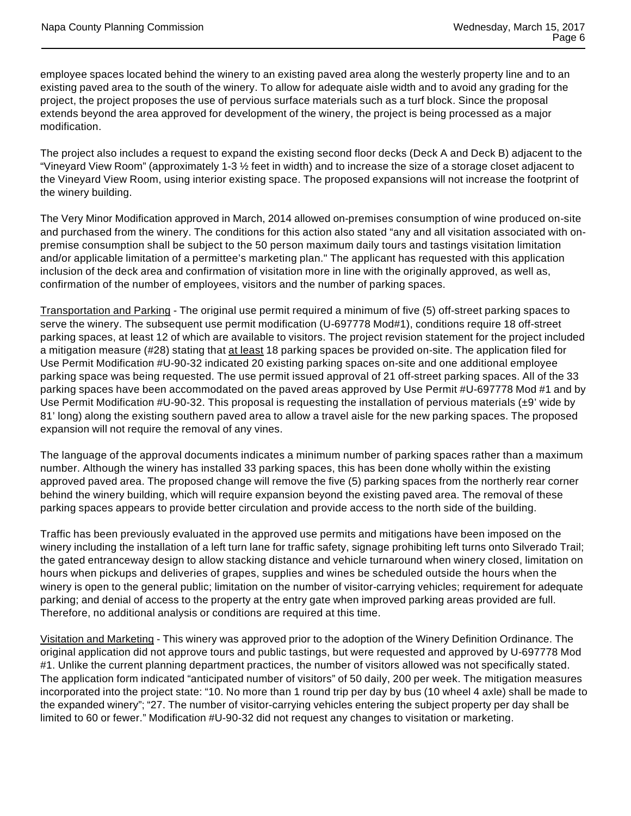employee spaces located behind the winery to an existing paved area along the westerly property line and to an existing paved area to the south of the winery. To allow for adequate aisle width and to avoid any grading for the project, the project proposes the use of pervious surface materials such as a turf block. Since the proposal extends beyond the area approved for development of the winery, the project is being processed as a major modification.

The project also includes a request to expand the existing second floor decks (Deck A and Deck B) adjacent to the "Vineyard View Room" (approximately 1-3 ½ feet in width) and to increase the size of a storage closet adjacent to the Vineyard View Room, using interior existing space. The proposed expansions will not increase the footprint of the winery building.

The Very Minor Modification approved in March, 2014 allowed on-premises consumption of wine produced on-site and purchased from the winery. The conditions for this action also stated "any and all visitation associated with onpremise consumption shall be subject to the 50 person maximum daily tours and tastings visitation limitation and/or applicable limitation of a permittee's marketing plan." The applicant has requested with this application inclusion of the deck area and confirmation of visitation more in line with the originally approved, as well as, confirmation of the number of employees, visitors and the number of parking spaces.

Transportation and Parking - The original use permit required a minimum of five (5) off-street parking spaces to serve the winery. The subsequent use permit modification (U-697778 Mod#1), conditions require 18 off-street parking spaces, at least 12 of which are available to visitors. The project revision statement for the project included a mitigation measure (#28) stating that at least 18 parking spaces be provided on-site. The application filed for Use Permit Modification #U-90-32 indicated 20 existing parking spaces on-site and one additional employee parking space was being requested. The use permit issued approval of 21 off-street parking spaces. All of the 33 parking spaces have been accommodated on the paved areas approved by Use Permit #U-697778 Mod #1 and by Use Permit Modification  $#U$ -90-32. This proposal is requesting the installation of pervious materials  $(±9'$  wide by 81' long) along the existing southern paved area to allow a travel aisle for the new parking spaces. The proposed expansion will not require the removal of any vines.

The language of the approval documents indicates a minimum number of parking spaces rather than a maximum number. Although the winery has installed 33 parking spaces, this has been done wholly within the existing approved paved area. The proposed change will remove the five (5) parking spaces from the northerly rear corner behind the winery building, which will require expansion beyond the existing paved area. The removal of these parking spaces appears to provide better circulation and provide access to the north side of the building.

Traffic has been previously evaluated in the approved use permits and mitigations have been imposed on the winery including the installation of a left turn lane for traffic safety, signage prohibiting left turns onto Silverado Trail; the gated entranceway design to allow stacking distance and vehicle turnaround when winery closed, limitation on hours when pickups and deliveries of grapes, supplies and wines be scheduled outside the hours when the winery is open to the general public; limitation on the number of visitor-carrying vehicles; requirement for adequate parking; and denial of access to the property at the entry gate when improved parking areas provided are full. Therefore, no additional analysis or conditions are required at this time.

Visitation and Marketing - This winery was approved prior to the adoption of the Winery Definition Ordinance. The original application did not approve tours and public tastings, but were requested and approved by U-697778 Mod #1. Unlike the current planning department practices, the number of visitors allowed was not specifically stated. The application form indicated "anticipated number of visitors" of 50 daily, 200 per week. The mitigation measures incorporated into the project state: "10. No more than 1 round trip per day by bus (10 wheel 4 axle) shall be made to the expanded winery"; "27. The number of visitor-carrying vehicles entering the subject property per day shall be limited to 60 or fewer." Modification #U-90-32 did not request any changes to visitation or marketing.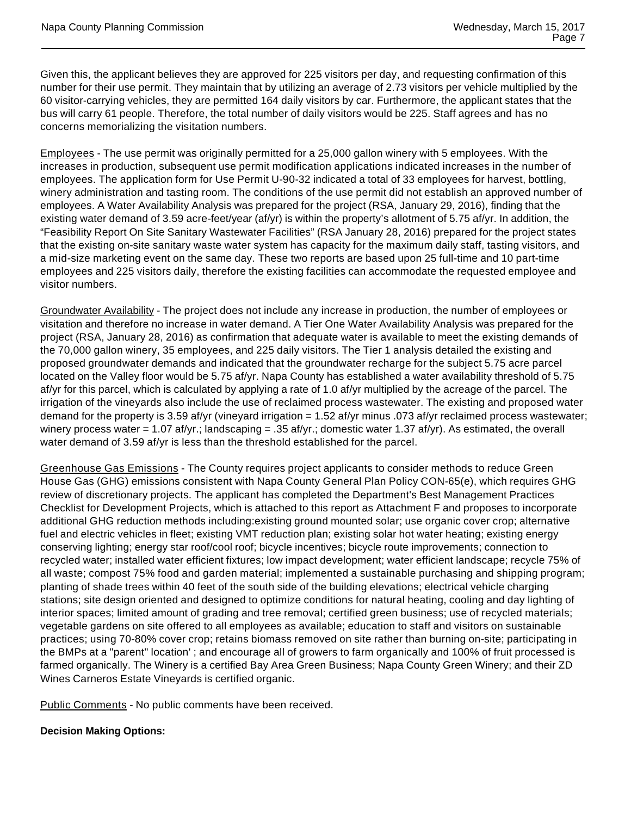Given this, the applicant believes they are approved for 225 visitors per day, and requesting confirmation of this number for their use permit. They maintain that by utilizing an average of 2.73 visitors per vehicle multiplied by the 60 visitor-carrying vehicles, they are permitted 164 daily visitors by car. Furthermore, the applicant states that the bus will carry 61 people. Therefore, the total number of daily visitors would be 225. Staff agrees and has no concerns memorializing the visitation numbers.

Employees - The use permit was originally permitted for a 25,000 gallon winery with 5 employees. With the increases in production, subsequent use permit modification applications indicated increases in the number of employees. The application form for Use Permit U-90-32 indicated a total of 33 employees for harvest, bottling, winery administration and tasting room. The conditions of the use permit did not establish an approved number of employees. A Water Availability Analysis was prepared for the project (RSA, January 29, 2016), finding that the existing water demand of 3.59 acre-feet/year (af/yr) is within the property's allotment of 5.75 af/yr. In addition, the "Feasibility Report On Site Sanitary Wastewater Facilities" (RSA January 28, 2016) prepared for the project states that the existing on-site sanitary waste water system has capacity for the maximum daily staff, tasting visitors, and a mid-size marketing event on the same day. These two reports are based upon 25 full-time and 10 part-time employees and 225 visitors daily, therefore the existing facilities can accommodate the requested employee and visitor numbers.

Groundwater Availability - The project does not include any increase in production, the number of employees or visitation and therefore no increase in water demand. A Tier One Water Availability Analysis was prepared for the project (RSA, January 28, 2016) as confirmation that adequate water is available to meet the existing demands of the 70,000 gallon winery, 35 employees, and 225 daily visitors. The Tier 1 analysis detailed the existing and proposed groundwater demands and indicated that the groundwater recharge for the subject 5.75 acre parcel located on the Valley floor would be 5.75 af/yr. Napa County has established a water availability threshold of 5.75 af/yr for this parcel, which is calculated by applying a rate of 1.0 af/yr multiplied by the acreage of the parcel. The irrigation of the vineyards also include the use of reclaimed process wastewater. The existing and proposed water demand for the property is 3.59 af/yr (vineyard irrigation = 1.52 af/yr minus .073 af/yr reclaimed process wastewater; winery process water = 1.07 af/yr.; landscaping = .35 af/yr.; domestic water 1.37 af/yr). As estimated, the overall water demand of 3.59 af/yr is less than the threshold established for the parcel.

Greenhouse Gas Emissions - The County requires project applicants to consider methods to reduce Green House Gas (GHG) emissions consistent with Napa County General Plan Policy CON-65(e), which requires GHG review of discretionary projects. The applicant has completed the Department's Best Management Practices Checklist for Development Projects, which is attached to this report as Attachment F and proposes to incorporate additional GHG reduction methods including:existing ground mounted solar; use organic cover crop; alternative fuel and electric vehicles in fleet; existing VMT reduction plan; existing solar hot water heating; existing energy conserving lighting; energy star roof/cool roof; bicycle incentives; bicycle route improvements; connection to recycled water; installed water efficient fixtures; low impact development; water efficient landscape; recycle 75% of all waste; compost 75% food and garden material; implemented a sustainable purchasing and shipping program; planting of shade trees within 40 feet of the south side of the building elevations; electrical vehicle charging stations; site design oriented and designed to optimize conditions for natural heating, cooling and day lighting of interior spaces; limited amount of grading and tree removal; certified green business; use of recycled materials; vegetable gardens on site offered to all employees as available; education to staff and visitors on sustainable practices; using 70-80% cover crop; retains biomass removed on site rather than burning on-site; participating in the BMPs at a "parent" location' ; and encourage all of growers to farm organically and 100% of fruit processed is farmed organically. The Winery is a certified Bay Area Green Business; Napa County Green Winery; and their ZD Wines Carneros Estate Vineyards is certified organic.

Public Comments - No public comments have been received.

# **Decision Making Options:**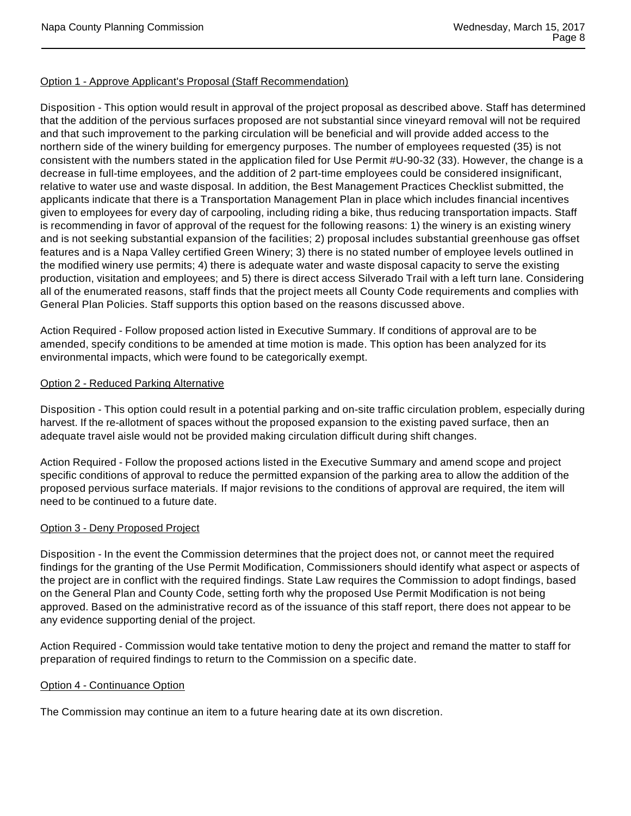# Option 1 - Approve Applicant's Proposal (Staff Recommendation)

Disposition - This option would result in approval of the project proposal as described above. Staff has determined that the addition of the pervious surfaces proposed are not substantial since vineyard removal will not be required and that such improvement to the parking circulation will be beneficial and will provide added access to the northern side of the winery building for emergency purposes. The number of employees requested (35) is not consistent with the numbers stated in the application filed for Use Permit #U-90-32 (33). However, the change is a decrease in full-time employees, and the addition of 2 part-time employees could be considered insignificant, relative to water use and waste disposal. In addition, the Best Management Practices Checklist submitted, the applicants indicate that there is a Transportation Management Plan in place which includes financial incentives given to employees for every day of carpooling, including riding a bike, thus reducing transportation impacts. Staff is recommending in favor of approval of the request for the following reasons: 1) the winery is an existing winery and is not seeking substantial expansion of the facilities; 2) proposal includes substantial greenhouse gas offset features and is a Napa Valley certified Green Winery; 3) there is no stated number of employee levels outlined in the modified winery use permits; 4) there is adequate water and waste disposal capacity to serve the existing production, visitation and employees; and 5) there is direct access Silverado Trail with a left turn lane. Considering all of the enumerated reasons, staff finds that the project meets all County Code requirements and complies with General Plan Policies. Staff supports this option based on the reasons discussed above.

Action Required - Follow proposed action listed in Executive Summary. If conditions of approval are to be amended, specify conditions to be amended at time motion is made. This option has been analyzed for its environmental impacts, which were found to be categorically exempt.

#### Option 2 - Reduced Parking Alternative

Disposition - This option could result in a potential parking and on-site traffic circulation problem, especially during harvest. If the re-allotment of spaces without the proposed expansion to the existing paved surface, then an adequate travel aisle would not be provided making circulation difficult during shift changes.

Action Required - Follow the proposed actions listed in the Executive Summary and amend scope and project specific conditions of approval to reduce the permitted expansion of the parking area to allow the addition of the proposed pervious surface materials. If major revisions to the conditions of approval are required, the item will need to be continued to a future date.

## Option 3 - Deny Proposed Project

Disposition - In the event the Commission determines that the project does not, or cannot meet the required findings for the granting of the Use Permit Modification, Commissioners should identify what aspect or aspects of the project are in conflict with the required findings. State Law requires the Commission to adopt findings, based on the General Plan and County Code, setting forth why the proposed Use Permit Modification is not being approved. Based on the administrative record as of the issuance of this staff report, there does not appear to be any evidence supporting denial of the project.

Action Required - Commission would take tentative motion to deny the project and remand the matter to staff for preparation of required findings to return to the Commission on a specific date.

## Option 4 - Continuance Option

The Commission may continue an item to a future hearing date at its own discretion.